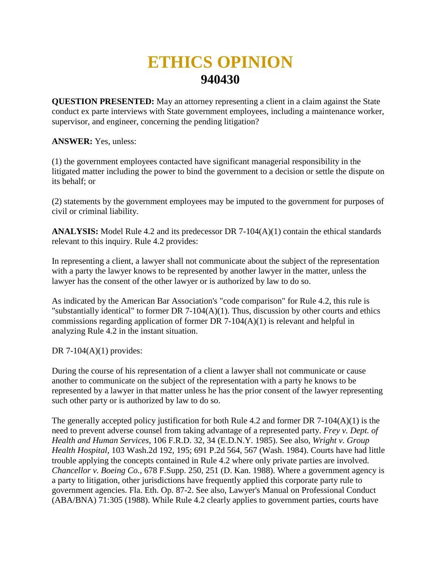## **ETHICS OPINION 940430**

**QUESTION PRESENTED:** May an attorney representing a client in a claim against the State conduct ex parte interviews with State government employees, including a maintenance worker, supervisor, and engineer, concerning the pending litigation?

## **ANSWER:** Yes, unless:

(1) the government employees contacted have significant managerial responsibility in the litigated matter including the power to bind the government to a decision or settle the dispute on its behalf; or

(2) statements by the government employees may be imputed to the government for purposes of civil or criminal liability.

**ANALYSIS:** Model Rule 4.2 and its predecessor DR 7-104(A)(1) contain the ethical standards relevant to this inquiry. Rule 4.2 provides:

In representing a client, a lawyer shall not communicate about the subject of the representation with a party the lawyer knows to be represented by another lawyer in the matter, unless the lawyer has the consent of the other lawyer or is authorized by law to do so.

As indicated by the American Bar Association's "code comparison" for Rule 4.2, this rule is "substantially identical" to former DR  $7-104(A)(1)$ . Thus, discussion by other courts and ethics commissions regarding application of former DR 7-104(A)(1) is relevant and helpful in analyzing Rule 4.2 in the instant situation.

DR 7-104(A)(1) provides:

During the course of his representation of a client a lawyer shall not communicate or cause another to communicate on the subject of the representation with a party he knows to be represented by a lawyer in that matter unless he has the prior consent of the lawyer representing such other party or is authorized by law to do so.

The generally accepted policy justification for both Rule 4.2 and former DR 7-104(A)(1) is the need to prevent adverse counsel from taking advantage of a represented party. *Frey v. Dept. of Health and Human Services*, 106 F.R.D. 32, 34 (E.D.N.Y. 1985). See also, *Wright v. Group Health Hospital*, 103 Wash.2d 192, 195; 691 P.2d 564, 567 (Wash. 1984). Courts have had little trouble applying the concepts contained in Rule 4.2 where only private parties are involved. *Chancellor v. Boeing Co.*, 678 F.Supp. 250, 251 (D. Kan. 1988). Where a government agency is a party to litigation, other jurisdictions have frequently applied this corporate party rule to government agencies. Fla. Eth. Op. 87-2. See also, Lawyer's Manual on Professional Conduct (ABA/BNA) 71:305 (1988). While Rule 4.2 clearly applies to government parties, courts have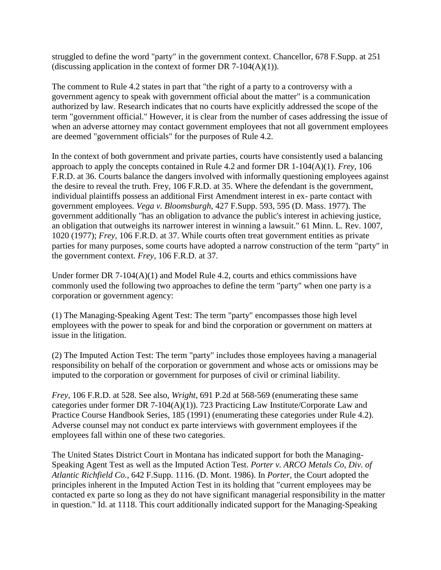struggled to define the word "party" in the government context. Chancellor, 678 F.Supp. at 251 (discussing application in the context of former DR 7-104(A)(1)).

The comment to Rule 4.2 states in part that "the right of a party to a controversy with a government agency to speak with government official about the matter" is a communication authorized by law. Research indicates that no courts have explicitly addressed the scope of the term "government official." However, it is clear from the number of cases addressing the issue of when an adverse attorney may contact government employees that not all government employees are deemed "government officials" for the purposes of Rule 4.2.

In the context of both government and private parties, courts have consistently used a balancing approach to apply the concepts contained in Rule 4.2 and former DR 1-104(A)(1). *Frey*, 106 F.R.D. at 36. Courts balance the dangers involved with informally questioning employees against the desire to reveal the truth. Frey, 106 F.R.D. at 35. Where the defendant is the government, individual plaintiffs possess an additional First Amendment interest in ex- parte contact with government employees. *Vega v. Bloomsburgh*, 427 F.Supp. 593, 595 (D. Mass. 1977). The government additionally "has an obligation to advance the public's interest in achieving justice, an obligation that outweighs its narrower interest in winning a lawsuit." 61 Minn. L. Rev. 1007, 1020 (1977); *Frey*, 106 F.R.D. at 37. While courts often treat government entities as private parties for many purposes, some courts have adopted a narrow construction of the term "party" in the government context. *Frey*, 106 F.R.D. at 37.

Under former DR  $7-104(A)(1)$  and Model Rule 4.2, courts and ethics commissions have commonly used the following two approaches to define the term "party" when one party is a corporation or government agency:

(1) The Managing-Speaking Agent Test: The term "party" encompasses those high level employees with the power to speak for and bind the corporation or government on matters at issue in the litigation.

(2) The Imputed Action Test: The term "party" includes those employees having a managerial responsibility on behalf of the corporation or government and whose acts or omissions may be imputed to the corporation or government for purposes of civil or criminal liability.

*Frey*, 106 F.R.D. at 528. See also, *Wright*, 691 P.2d at 568-569 (enumerating these same categories under former DR 7-104(A)(1)). 723 Practicing Law Institute/Corporate Law and Practice Course Handbook Series, 185 (1991) (enumerating these categories under Rule 4.2). Adverse counsel may not conduct ex parte interviews with government employees if the employees fall within one of these two categories.

The United States District Court in Montana has indicated support for both the Managing-Speaking Agent Test as well as the Imputed Action Test. *Porter v. ARCO Metals Co, Div. of Atlantic Richfield Co.*, 642 F.Supp. 1116. (D. Mont. 1986). In *Porter*, the Court adopted the principles inherent in the Imputed Action Test in its holding that "current employees may be contacted ex parte so long as they do not have significant managerial responsibility in the matter in question." Id. at 1118. This court additionally indicated support for the Managing-Speaking